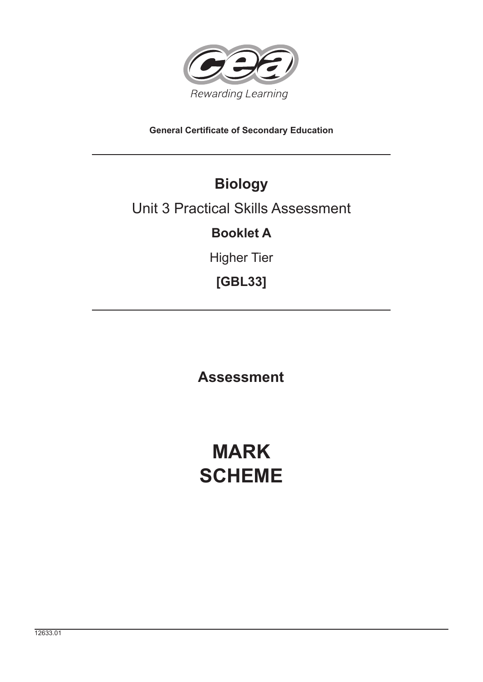

**General Certificate of Secondary Education**

# **Biology** Unit 3 Practical Skills Assessment **Booklet A** Higher Tier **[GBL33]**

**Assessment**

### **MARK SCHEME**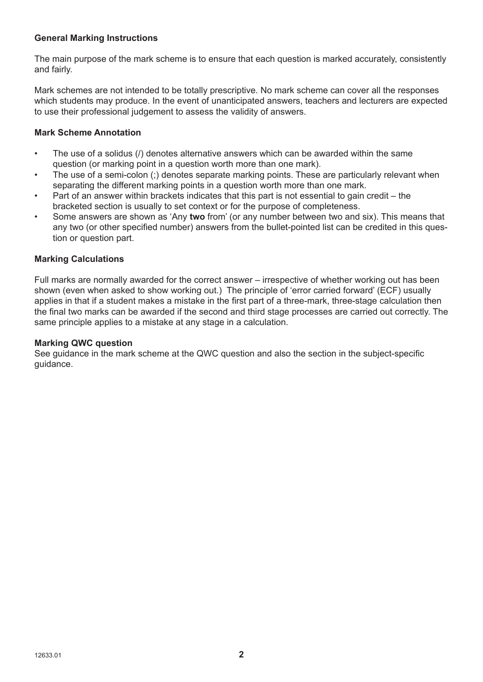### **General Marking Instructions**

The main purpose of the mark scheme is to ensure that each question is marked accurately, consistently and fairly.

Mark schemes are not intended to be totally prescriptive. No mark scheme can cover all the responses which students may produce. In the event of unanticipated answers, teachers and lecturers are expected to use their professional judgement to assess the validity of answers.

#### **Mark Scheme Annotation**

- The use of a solidus (/) denotes alternative answers which can be awarded within the same question (or marking point in a question worth more than one mark).
- The use of a semi-colon (:) denotes separate marking points. These are particularly relevant when separating the different marking points in a question worth more than one mark.
- Part of an answer within brackets indicates that this part is not essential to gain credit the bracketed section is usually to set context or for the purpose of completeness.
- Some answers are shown as 'Any **two** from' (or any number between two and six). This means that any two (or other specified number) answers from the bullet-pointed list can be credited in this question or question part.

#### **Marking Calculations**

Full marks are normally awarded for the correct answer – irrespective of whether working out has been shown (even when asked to show working out.) The principle of 'error carried forward' (ECF) usually applies in that if a student makes a mistake in the first part of a three-mark, three-stage calculation then the final two marks can be awarded if the second and third stage processes are carried out correctly. The same principle applies to a mistake at any stage in a calculation.

#### **Marking QWC question**

See guidance in the mark scheme at the QWC question and also the section in the subject-specific guidance.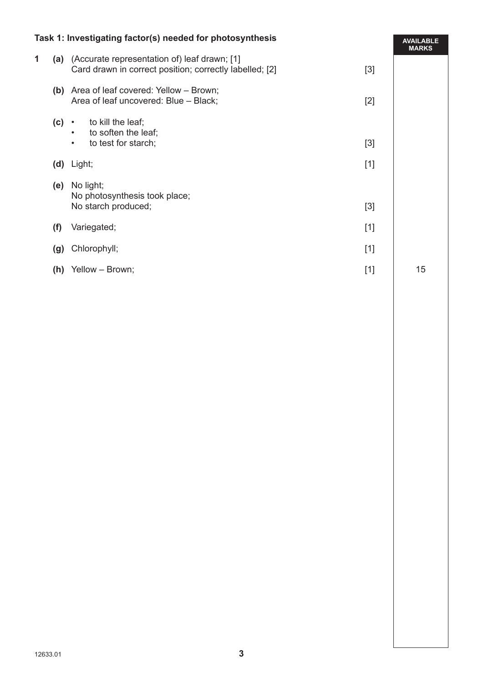| Task 1: Investigating factor(s) needed for photosynthesis |         |                                                                                                             |       | <b>AVAILABLE</b><br><b>MARKS</b> |
|-----------------------------------------------------------|---------|-------------------------------------------------------------------------------------------------------------|-------|----------------------------------|
| 1                                                         |         | (a) (Accurate representation of) leaf drawn; [1]<br>Card drawn in correct position; correctly labelled; [2] | $[3]$ |                                  |
|                                                           |         | (b) Area of leaf covered: Yellow – Brown;<br>Area of leaf uncovered: Blue - Black;                          | $[2]$ |                                  |
|                                                           | $(c)$ . | to kill the leaf;<br>to soften the leaf;<br>$\bullet$<br>to test for starch;<br>$\bullet$                   | $[3]$ |                                  |
|                                                           |         | $(d)$ Light;                                                                                                | $[1]$ |                                  |
|                                                           | (e)     | No light;<br>No photosynthesis took place;<br>No starch produced;                                           | $[3]$ |                                  |
|                                                           | (f)     | Variegated;                                                                                                 | $[1]$ |                                  |
|                                                           | (g)     | Chlorophyll;                                                                                                | $[1]$ |                                  |
|                                                           | (h)     | Yellow - Brown;                                                                                             | $[1]$ | 15                               |
|                                                           |         |                                                                                                             |       |                                  |